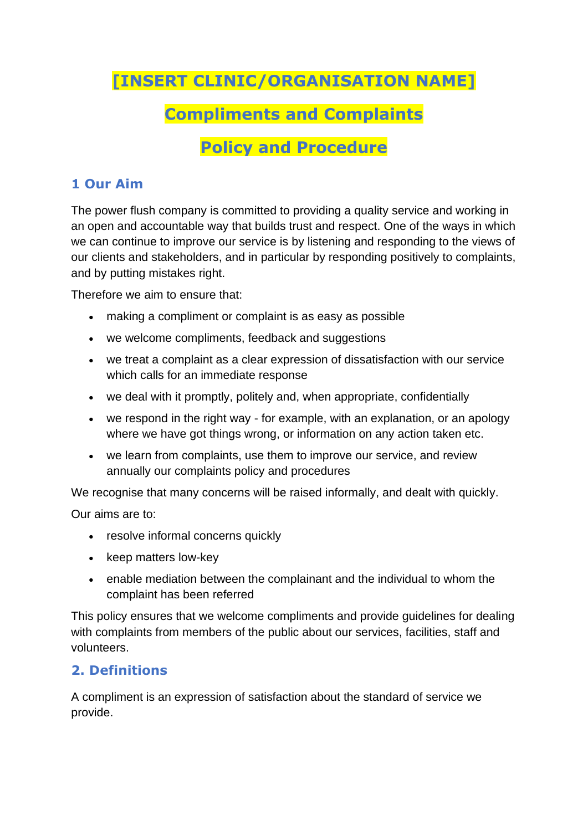# **[INSERT CLINIC/ORGANISATION NAME]**

# **Compliments and Complaints**

# **Policy and Procedure**

### **1 Our Aim**

The power flush company is committed to providing a quality service and working in an open and accountable way that builds trust and respect. One of the ways in which we can continue to improve our service is by listening and responding to the views of our clients and stakeholders, and in particular by responding positively to complaints, and by putting mistakes right.

Therefore we aim to ensure that:

- making a compliment or complaint is as easy as possible
- we welcome compliments, feedback and suggestions
- we treat a complaint as a clear expression of dissatisfaction with our service which calls for an immediate response
- we deal with it promptly, politely and, when appropriate, confidentially
- we respond in the right way for example, with an explanation, or an apology where we have got things wrong, or information on any action taken etc.
- we learn from complaints, use them to improve our service, and review annually our complaints policy and procedures

We recognise that many concerns will be raised informally, and dealt with quickly.

Our aims are to:

- resolve informal concerns quickly
- keep matters low-key
- enable mediation between the complainant and the individual to whom the complaint has been referred

This policy ensures that we welcome compliments and provide guidelines for dealing with complaints from members of the public about our services, facilities, staff and volunteers.

### **2. Definitions**

A compliment is an expression of satisfaction about the standard of service we provide.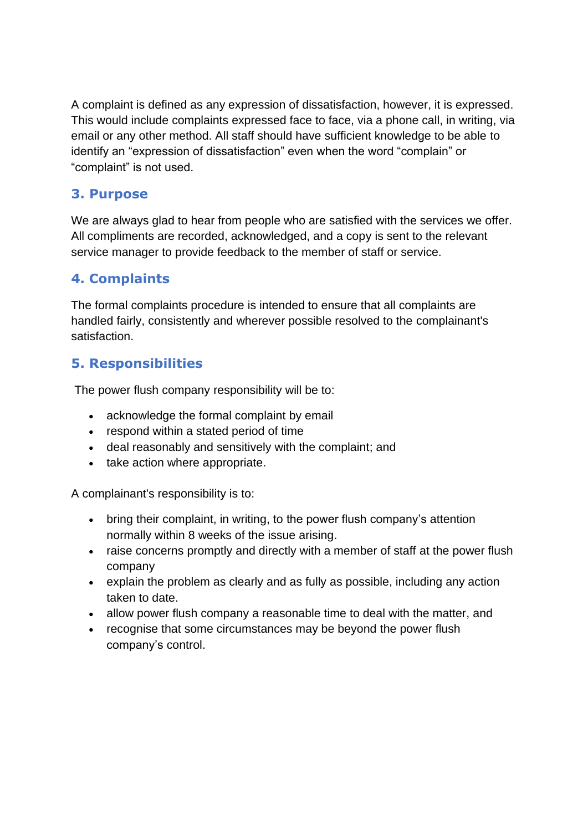A complaint is defined as any expression of dissatisfaction, however, it is expressed. This would include complaints expressed face to face, via a phone call, in writing, via email or any other method. All staff should have sufficient knowledge to be able to identify an "expression of dissatisfaction" even when the word "complain" or "complaint" is not used.

#### **3. Purpose**

We are always glad to hear from people who are satisfied with the services we offer. All compliments are recorded, acknowledged, and a copy is sent to the relevant service manager to provide feedback to the member of staff or service.

### **4. Complaints**

The formal complaints procedure is intended to ensure that all complaints are handled fairly, consistently and wherever possible resolved to the complainant's satisfaction.

### **5. Responsibilities**

The power flush company responsibility will be to:

- acknowledge the formal complaint by email
- respond within a stated period of time
- deal reasonably and sensitively with the complaint; and
- take action where appropriate.

A complainant's responsibility is to:

- bring their complaint, in writing, to the power flush company's attention normally within 8 weeks of the issue arising.
- raise concerns promptly and directly with a member of staff at the power flush company
- explain the problem as clearly and as fully as possible, including any action taken to date.
- allow power flush company a reasonable time to deal with the matter, and
- recognise that some circumstances may be beyond the power flush company's control.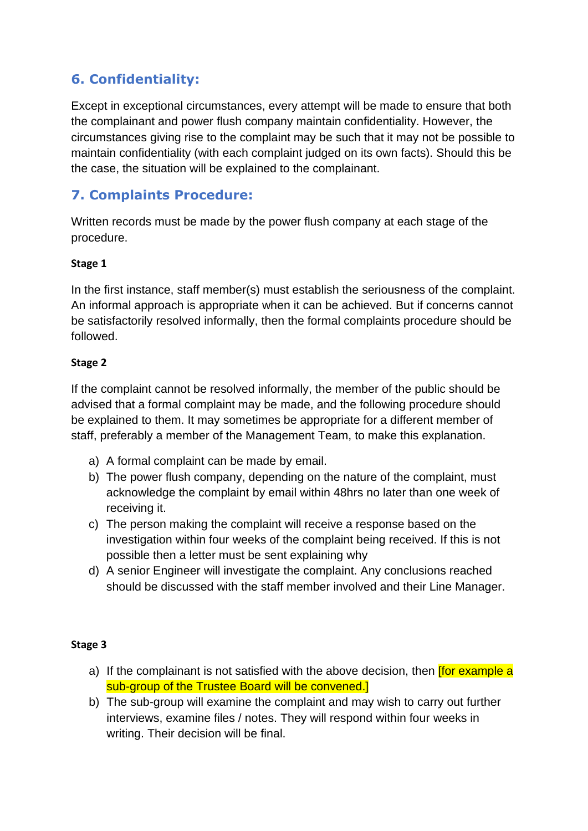## **6. Confidentiality:**

Except in exceptional circumstances, every attempt will be made to ensure that both the complainant and power flush company maintain confidentiality. However, the circumstances giving rise to the complaint may be such that it may not be possible to maintain confidentiality (with each complaint judged on its own facts). Should this be the case, the situation will be explained to the complainant.

## **7. Complaints Procedure:**

Written records must be made by the power flush company at each stage of the procedure.

#### **Stage 1**

In the first instance, staff member(s) must establish the seriousness of the complaint. An informal approach is appropriate when it can be achieved. But if concerns cannot be satisfactorily resolved informally, then the formal complaints procedure should be followed.

#### **Stage 2**

If the complaint cannot be resolved informally, the member of the public should be advised that a formal complaint may be made, and the following procedure should be explained to them. It may sometimes be appropriate for a different member of staff, preferably a member of the Management Team, to make this explanation.

- a) A formal complaint can be made by email.
- b) The power flush company, depending on the nature of the complaint, must acknowledge the complaint by email within 48hrs no later than one week of receiving it.
- c) The person making the complaint will receive a response based on the investigation within four weeks of the complaint being received. If this is not possible then a letter must be sent explaining why
- d) A senior Engineer will investigate the complaint. Any conclusions reached should be discussed with the staff member involved and their Line Manager.

#### **Stage 3**

- a) If the complainant is not satisfied with the above decision, then **for example a** sub-group of the Trustee Board will be convened.]
- b) The sub-group will examine the complaint and may wish to carry out further interviews, examine files / notes. They will respond within four weeks in writing. Their decision will be final.